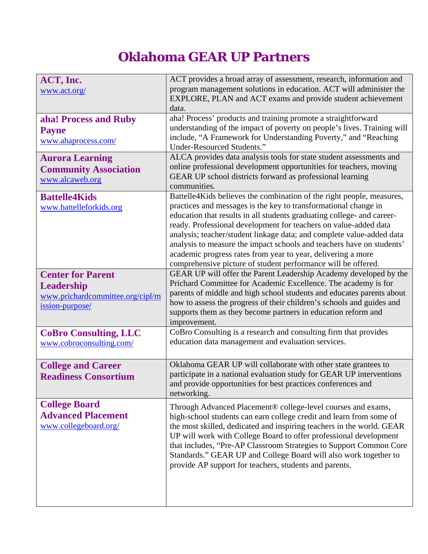## **Oklahoma GEAR UP Partners**

| ACT, Inc.<br>www.act.org/                                                                            | ACT provides a broad array of assessment, research, information and<br>program management solutions in education. ACT will administer the<br>EXPLORE, PLAN and ACT exams and provide student achievement<br>data.                                                                                                                                                                                                                                                                                                                                                         |
|------------------------------------------------------------------------------------------------------|---------------------------------------------------------------------------------------------------------------------------------------------------------------------------------------------------------------------------------------------------------------------------------------------------------------------------------------------------------------------------------------------------------------------------------------------------------------------------------------------------------------------------------------------------------------------------|
| aha! Process and Ruby<br><b>Payne</b><br>www.ahaprocess.com/                                         | aha! Process' products and training promote a straightforward<br>understanding of the impact of poverty on people's lives. Training will<br>include, "A Framework for Understanding Poverty," and "Reaching<br><b>Under-Resourced Students."</b>                                                                                                                                                                                                                                                                                                                          |
| <b>Aurora Learning</b><br><b>Community Association</b><br>www.alcaweb.org                            | ALCA provides data analysis tools for state student assessments and<br>online professional development opportunities for teachers, moving<br>GEAR UP school districts forward as professional learning<br>communities.                                                                                                                                                                                                                                                                                                                                                    |
| <b>Battelle4Kids</b><br>www.battelleforkids.org                                                      | Battelle4Kids believes the combination of the right people, measures,<br>practices and messages is the key to transformational change in<br>education that results in all students graduating college- and career-<br>ready. Professional development for teachers on value-added data<br>analysis; teacher/student linkage data; and complete value-added data<br>analysis to measure the impact schools and teachers have on students'<br>academic progress rates from year to year, delivering a more<br>comprehensive picture of student performance will be offered. |
| <b>Center for Parent</b><br><b>Leadership</b><br>www.prichardcommittee.org/cipl/m<br>ission-purpose/ | GEAR UP will offer the Parent Leadership Academy developed by the<br>Prichard Committee for Academic Excellence. The academy is for<br>parents of middle and high school students and educates parents about<br>how to assess the progress of their children's schools and guides and<br>supports them as they become partners in education reform and<br>improvement.                                                                                                                                                                                                    |
| <b>CoBro Consulting, LLC</b><br>www.cobroconsulting.com/                                             | CoBro Consulting is a research and consulting firm that provides<br>education data management and evaluation services.                                                                                                                                                                                                                                                                                                                                                                                                                                                    |
| <b>College and Career</b><br><b>Readiness Consortium</b>                                             | Oklahoma GEAR UP will collaborate with other state grantees to<br>participate in a national evaluation study for GEAR UP interventions<br>and provide opportunities for best practices conferences and<br>networking.                                                                                                                                                                                                                                                                                                                                                     |
| <b>College Board</b><br><b>Advanced Placement</b><br>www.collegeboard.org/                           | Through Advanced Placement® college-level courses and exams,<br>high-school students can earn college credit and learn from some of<br>the most skilled, dedicated and inspiring teachers in the world. GEAR<br>UP will work with College Board to offer professional development<br>that includes, "Pre-AP Classroom Strategies to Support Common Core<br>Standards." GEAR UP and College Board will also work together to<br>provide AP support for teachers, students and parents.                                                                                     |